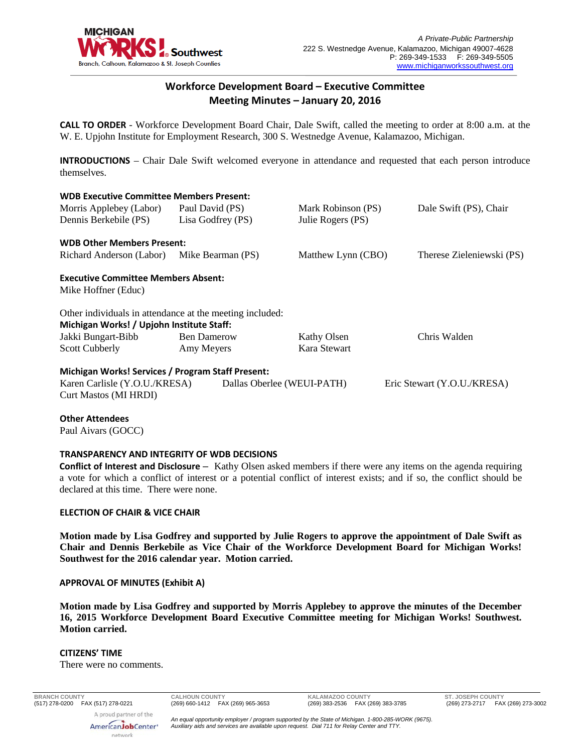

## **Workforce Development Board – Executive Committee Meeting Minutes – January 20, 2016**

**CALL TO ORDER** - Workforce Development Board Chair, Dale Swift, called the meeting to order at 8:00 a.m. at the W. E. Upjohn Institute for Employment Research, 300 S. Westnedge Avenue, Kalamazoo, Michigan.

**INTRODUCTIONS** – Chair Dale Swift welcomed everyone in attendance and requested that each person introduce themselves.

### **WDB Executive Committee Members Present:**

| Morris Applebey (Labor)<br>Dennis Berkebile (PS)                                                                                                                         | Paul David (PS)<br>Lisa Godfrey (PS) | Mark Robinson (PS)<br>Julie Rogers (PS) | Dale Swift (PS), Chair    |
|--------------------------------------------------------------------------------------------------------------------------------------------------------------------------|--------------------------------------|-----------------------------------------|---------------------------|
| <b>WDB Other Members Present:</b>                                                                                                                                        |                                      |                                         |                           |
| Richard Anderson (Labor)                                                                                                                                                 | Mike Bearman (PS)                    | Matthew Lynn (CBO)                      | Therese Zieleniewski (PS) |
| <b>Executive Committee Members Absent:</b><br>Mike Hoffner (Educ)<br>Other individuals in attendance at the meeting included:                                            |                                      |                                         |                           |
| Michigan Works! / Upjohn Institute Staff:                                                                                                                                |                                      |                                         |                           |
| Jakki Bungart-Bibb                                                                                                                                                       | <b>Ben Damerow</b>                   | Kathy Olsen                             | Chris Walden              |
| Scott Cubberly                                                                                                                                                           | Amy Meyers                           | Kara Stewart                            |                           |
| Michigan Works! Services / Program Staff Present:<br>Karen Carlisle (Y.O.U./KRESA)<br>Dallas Oberlee (WEUI-PATH)<br>Eric Stewart (Y.O.U./KRESA)<br>Curt Mastos (MI HRDI) |                                      |                                         |                           |

## **Other Attendees**

Paul Aivars (GOCC)

## **TRANSPARENCY AND INTEGRITY OF WDB DECISIONS**

**Conflict of Interest and Disclosure** – Kathy Olsen asked members if there were any items on the agenda requiring a vote for which a conflict of interest or a potential conflict of interest exists; and if so, the conflict should be declared at this time. There were none.

## **ELECTION OF CHAIR & VICE CHAIR**

**Motion made by Lisa Godfrey and supported by Julie Rogers to approve the appointment of Dale Swift as Chair and Dennis Berkebile as Vice Chair of the Workforce Development Board for Michigan Works! Southwest for the 2016 calendar year. Motion carried.** 

## **APPROVAL OF MINUTES (Exhibit A)**

**Motion made by Lisa Godfrey and supported by Morris Applebey to approve the minutes of the December 16, 2015 Workforce Development Board Executive Committee meeting for Michigan Works! Southwest. Motion carried.** 

#### **CITIZENS' TIME**

There were no comments.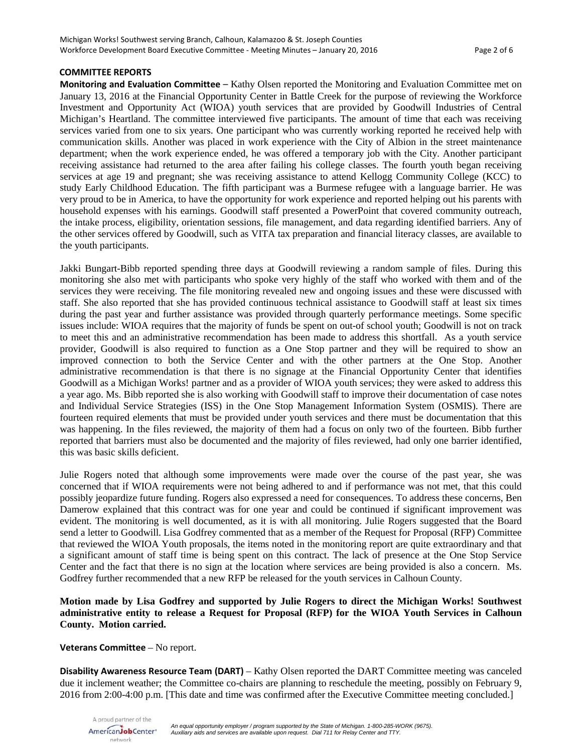### **COMMITTEE REPORTS**

**Monitoring and Evaluation Committee** – Kathy Olsen reported the Monitoring and Evaluation Committee met on January 13, 2016 at the Financial Opportunity Center in Battle Creek for the purpose of reviewing the Workforce Investment and Opportunity Act (WIOA) youth services that are provided by Goodwill Industries of Central Michigan's Heartland. The committee interviewed five participants. The amount of time that each was receiving services varied from one to six years. One participant who was currently working reported he received help with communication skills. Another was placed in work experience with the City of Albion in the street maintenance department; when the work experience ended, he was offered a temporary job with the City. Another participant receiving assistance had returned to the area after failing his college classes. The fourth youth began receiving services at age 19 and pregnant; she was receiving assistance to attend Kellogg Community College (KCC) to study Early Childhood Education. The fifth participant was a Burmese refugee with a language barrier. He was very proud to be in America, to have the opportunity for work experience and reported helping out his parents with household expenses with his earnings. Goodwill staff presented a PowerPoint that covered community outreach, the intake process, eligibility, orientation sessions, file management, and data regarding identified barriers. Any of the other services offered by Goodwill, such as VITA tax preparation and financial literacy classes, are available to the youth participants.

Jakki Bungart-Bibb reported spending three days at Goodwill reviewing a random sample of files. During this monitoring she also met with participants who spoke very highly of the staff who worked with them and of the services they were receiving. The file monitoring revealed new and ongoing issues and these were discussed with staff. She also reported that she has provided continuous technical assistance to Goodwill staff at least six times during the past year and further assistance was provided through quarterly performance meetings. Some specific issues include: WIOA requires that the majority of funds be spent on out-of school youth; Goodwill is not on track to meet this and an administrative recommendation has been made to address this shortfall. As a youth service provider, Goodwill is also required to function as a One Stop partner and they will be required to show an improved connection to both the Service Center and with the other partners at the One Stop. Another administrative recommendation is that there is no signage at the Financial Opportunity Center that identifies Goodwill as a Michigan Works! partner and as a provider of WIOA youth services; they were asked to address this a year ago. Ms. Bibb reported she is also working with Goodwill staff to improve their documentation of case notes and Individual Service Strategies (ISS) in the One Stop Management Information System (OSMIS). There are fourteen required elements that must be provided under youth services and there must be documentation that this was happening. In the files reviewed, the majority of them had a focus on only two of the fourteen. Bibb further reported that barriers must also be documented and the majority of files reviewed, had only one barrier identified, this was basic skills deficient.

Julie Rogers noted that although some improvements were made over the course of the past year, she was concerned that if WIOA requirements were not being adhered to and if performance was not met, that this could possibly jeopardize future funding. Rogers also expressed a need for consequences. To address these concerns, Ben Damerow explained that this contract was for one year and could be continued if significant improvement was evident. The monitoring is well documented, as it is with all monitoring. Julie Rogers suggested that the Board send a letter to Goodwill. Lisa Godfrey commented that as a member of the Request for Proposal (RFP) Committee that reviewed the WIOA Youth proposals, the items noted in the monitoring report are quite extraordinary and that a significant amount of staff time is being spent on this contract. The lack of presence at the One Stop Service Center and the fact that there is no sign at the location where services are being provided is also a concern. Ms. Godfrey further recommended that a new RFP be released for the youth services in Calhoun County.

## **Motion made by Lisa Godfrey and supported by Julie Rogers to direct the Michigan Works! Southwest administrative entity to release a Request for Proposal (RFP) for the WIOA Youth Services in Calhoun County. Motion carried.**

#### **Veterans Committee** – No report.

**Disability Awareness Resource Team (DART)** – Kathy Olsen reported the DART Committee meeting was canceled due it inclement weather; the Committee co-chairs are planning to reschedule the meeting, possibly on February 9, 2016 from 2:00-4:00 p.m. [This date and time was confirmed after the Executive Committee meeting concluded.]

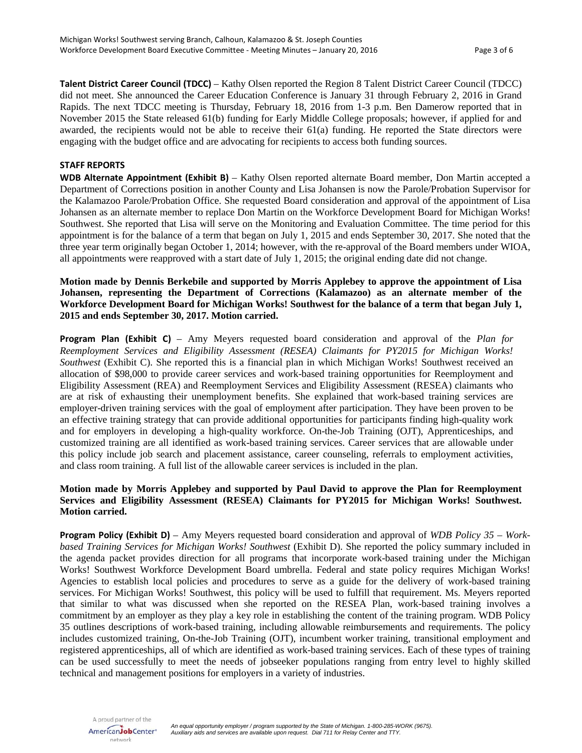**Talent District Career Council (TDCC)** – Kathy Olsen reported the Region 8 Talent District Career Council (TDCC) did not meet. She announced the Career Education Conference is January 31 through February 2, 2016 in Grand Rapids. The next TDCC meeting is Thursday, February 18, 2016 from 1-3 p.m. Ben Damerow reported that in November 2015 the State released 61(b) funding for Early Middle College proposals; however, if applied for and awarded, the recipients would not be able to receive their 61(a) funding. He reported the State directors were engaging with the budget office and are advocating for recipients to access both funding sources.

#### **STAFF REPORTS**

**WDB Alternate Appointment (Exhibit B)** – Kathy Olsen reported alternate Board member, Don Martin accepted a Department of Corrections position in another County and Lisa Johansen is now the Parole/Probation Supervisor for the Kalamazoo Parole/Probation Office. She requested Board consideration and approval of the appointment of Lisa Johansen as an alternate member to replace Don Martin on the Workforce Development Board for Michigan Works! Southwest. She reported that Lisa will serve on the Monitoring and Evaluation Committee. The time period for this appointment is for the balance of a term that began on July 1, 2015 and ends September 30, 2017. She noted that the three year term originally began October 1, 2014; however, with the re-approval of the Board members under WIOA, all appointments were reapproved with a start date of July 1, 2015; the original ending date did not change.

**Motion made by Dennis Berkebile and supported by Morris Applebey to approve the appointment of Lisa Johansen, representing the Department of Corrections (Kalamazoo) as an alternate member of the Workforce Development Board for Michigan Works! Southwest for the balance of a term that began July 1, 2015 and ends September 30, 2017. Motion carried.** 

**Program Plan (Exhibit C)** – Amy Meyers requested board consideration and approval of the *Plan for Reemployment Services and Eligibility Assessment (RESEA) Claimants for PY2015 for Michigan Works! Southwest* (Exhibit C). She reported this is a financial plan in which Michigan Works! Southwest received an allocation of \$98,000 to provide career services and work-based training opportunities for Reemployment and Eligibility Assessment (REA) and Reemployment Services and Eligibility Assessment (RESEA) claimants who are at risk of exhausting their unemployment benefits. She explained that work-based training services are employer-driven training services with the goal of employment after participation. They have been proven to be an effective training strategy that can provide additional opportunities for participants finding high-quality work and for employers in developing a high-quality workforce. On-the-Job Training (OJT), Apprenticeships, and customized training are all identified as work-based training services. Career services that are allowable under this policy include job search and placement assistance, career counseling, referrals to employment activities, and class room training. A full list of the allowable career services is included in the plan.

## **Motion made by Morris Applebey and supported by Paul David to approve the Plan for Reemployment Services and Eligibility Assessment (RESEA) Claimants for PY2015 for Michigan Works! Southwest. Motion carried.**

**Program Policy (Exhibit D)** – Amy Meyers requested board consideration and approval of *WDB Policy 35 – Workbased Training Services for Michigan Works! Southwest* (Exhibit D). She reported the policy summary included in the agenda packet provides direction for all programs that incorporate work-based training under the Michigan Works! Southwest Workforce Development Board umbrella. Federal and state policy requires Michigan Works! Agencies to establish local policies and procedures to serve as a guide for the delivery of work-based training services. For Michigan Works! Southwest, this policy will be used to fulfill that requirement. Ms. Meyers reported that similar to what was discussed when she reported on the RESEA Plan, work-based training involves a commitment by an employer as they play a key role in establishing the content of the training program. WDB Policy 35 outlines descriptions of work-based training, including allowable reimbursements and requirements. The policy includes customized training, On-the-Job Training (OJT), incumbent worker training, transitional employment and registered apprenticeships, all of which are identified as work-based training services. Each of these types of training can be used successfully to meet the needs of jobseeker populations ranging from entry level to highly skilled technical and management positions for employers in a variety of industries.

A proud partner of the AmericanJobCenter\* network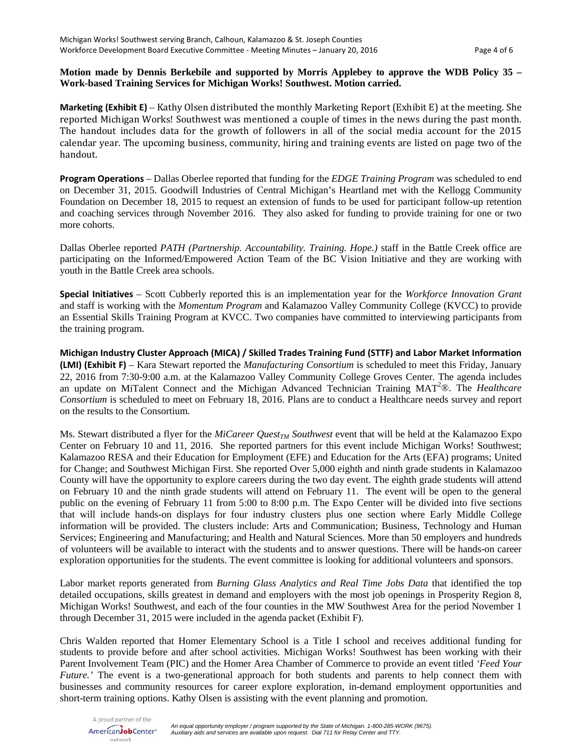## **Motion made by Dennis Berkebile and supported by Morris Applebey to approve the WDB Policy 35 – Work-based Training Services for Michigan Works! Southwest. Motion carried.**

**Marketing (Exhibit E)** – Kathy Olsen distributed the monthly Marketing Report (Exhibit E) at the meeting. She reported Michigan Works! Southwest was mentioned a couple of times in the news during the past month. The handout includes data for the growth of followers in all of the social media account for the 2015 calendar year. The upcoming business, community, hiring and training events are listed on page two of the handout.

**Program Operations** – Dallas Oberlee reported that funding for the *EDGE Training Program* was scheduled to end on December 31, 2015. Goodwill Industries of Central Michigan's Heartland met with the Kellogg Community Foundation on December 18, 2015 to request an extension of funds to be used for participant follow-up retention and coaching services through November 2016. They also asked for funding to provide training for one or two more cohorts.

Dallas Oberlee reported *PATH (Partnership. Accountability. Training. Hope.)* staff in the Battle Creek office are participating on the Informed/Empowered Action Team of the BC Vision Initiative and they are working with youth in the Battle Creek area schools.

**Special Initiatives** – Scott Cubberly reported this is an implementation year for the *Workforce Innovation Grant* and staff is working with the *Momentum Program* and Kalamazoo Valley Community College (KVCC) to provide an Essential Skills Training Program at KVCC. Two companies have committed to interviewing participants from the training program.

**Michigan Industry Cluster Approach (MICA) / Skilled Trades Training Fund (STTF) and Labor Market Information (LMI) (Exhibit F)** – Kara Stewart reported the *Manufacturing Consortium* is scheduled to meet this Friday, January 22, 2016 from 7:30-9:00 a.m. at the Kalamazoo Valley Community College Groves Center. The agenda includes an update on MiTalent Connect and the Michigan Advanced Technician Training MAT<sup>2</sup>®. The *Healthcare Consortium* is scheduled to meet on February 18, 2016. Plans are to conduct a Healthcare needs survey and report on the results to the Consortium.

Ms. Stewart distributed a flyer for the *MiCareer Quest<sub>TM</sub>* Southwest event that will be held at the Kalamazoo Expo Center on February 10 and 11, 2016. She reported partners for this event include Michigan Works! Southwest; Kalamazoo RESA and their Education for Employment (EFE) and Education for the Arts (EFA) programs; United for Change; and Southwest Michigan First. She reported Over 5,000 eighth and ninth grade students in Kalamazoo County will have the opportunity to explore careers during the two day event. The eighth grade students will attend on February 10 and the ninth grade students will attend on February 11. The event will be open to the general public on the evening of February 11 from 5:00 to 8:00 p.m. The Expo Center will be divided into five sections that will include hands-on displays for four industry clusters plus one section where Early Middle College information will be provided. The clusters include: Arts and Communication; Business, Technology and Human Services; Engineering and Manufacturing; and Health and Natural Sciences. More than 50 employers and hundreds of volunteers will be available to interact with the students and to answer questions. There will be hands-on career exploration opportunities for the students. The event committee is looking for additional volunteers and sponsors.

Labor market reports generated from *Burning Glass Analytics and Real Time Jobs Data* that identified the top detailed occupations, skills greatest in demand and employers with the most job openings in Prosperity Region 8, Michigan Works! Southwest, and each of the four counties in the MW Southwest Area for the period November 1 through December 31, 2015 were included in the agenda packet (Exhibit F).

Chris Walden reported that Homer Elementary School is a Title I school and receives additional funding for students to provide before and after school activities. Michigan Works! Southwest has been working with their Parent Involvement Team (PIC) and the Homer Area Chamber of Commerce to provide an event titled *'Feed Your Future.'* The event is a two-generational approach for both students and parents to help connect them with businesses and community resources for career explore exploration, in-demand employment opportunities and short-term training options. Kathy Olsen is assisting with the event planning and promotion.

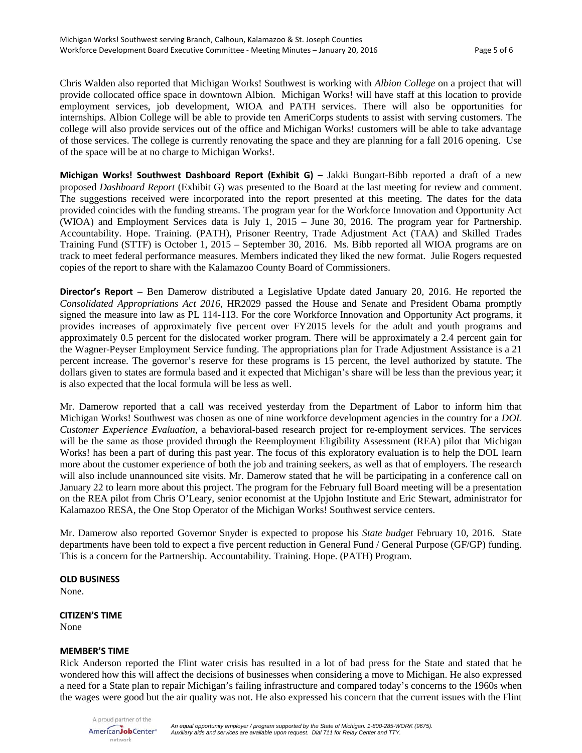Chris Walden also reported that Michigan Works! Southwest is working with *Albion College* on a project that will provide collocated office space in downtown Albion. Michigan Works! will have staff at this location to provide employment services, job development, WIOA and PATH services. There will also be opportunities for internships. Albion College will be able to provide ten AmeriCorps students to assist with serving customers. The college will also provide services out of the office and Michigan Works! customers will be able to take advantage of those services. The college is currently renovating the space and they are planning for a fall 2016 opening. Use of the space will be at no charge to Michigan Works!.

**Michigan Works! Southwest Dashboard Report (Exhibit G)** – Jakki Bungart-Bibb reported a draft of a new proposed *Dashboard Report* (Exhibit G) was presented to the Board at the last meeting for review and comment. The suggestions received were incorporated into the report presented at this meeting. The dates for the data provided coincides with the funding streams. The program year for the Workforce Innovation and Opportunity Act (WIOA) and Employment Services data is July 1, 2015 – June 30, 2016. The program year for Partnership. Accountability. Hope. Training. (PATH), Prisoner Reentry, Trade Adjustment Act (TAA) and Skilled Trades Training Fund (STTF) is October 1, 2015 – September 30, 2016. Ms. Bibb reported all WIOA programs are on track to meet federal performance measures. Members indicated they liked the new format. Julie Rogers requested copies of the report to share with the Kalamazoo County Board of Commissioners.

**Director's Report** – Ben Damerow distributed a Legislative Update dated January 20, 2016. He reported the *Consolidated Appropriations Act 2016*, HR2029 passed the House and Senate and President Obama promptly signed the measure into law as PL 114-113. For the core Workforce Innovation and Opportunity Act programs, it provides increases of approximately five percent over FY2015 levels for the adult and youth programs and approximately 0.5 percent for the dislocated worker program. There will be approximately a 2.4 percent gain for the Wagner-Peyser Employment Service funding. The appropriations plan for Trade Adjustment Assistance is a 21 percent increase. The governor's reserve for these programs is 15 percent, the level authorized by statute. The dollars given to states are formula based and it expected that Michigan's share will be less than the previous year; it is also expected that the local formula will be less as well.

Mr. Damerow reported that a call was received yesterday from the Department of Labor to inform him that Michigan Works! Southwest was chosen as one of nine workforce development agencies in the country for a *DOL Customer Experience Evaluation*, a behavioral-based research project for re-employment services. The services will be the same as those provided through the Reemployment Eligibility Assessment (REA) pilot that Michigan Works! has been a part of during this past year. The focus of this exploratory evaluation is to help the DOL learn more about the customer experience of both the job and training seekers, as well as that of employers. The research will also include unannounced site visits. Mr. Damerow stated that he will be participating in a conference call on January 22 to learn more about this project. The program for the February full Board meeting will be a presentation on the REA pilot from Chris O'Leary, senior economist at the Upjohn Institute and Eric Stewart, administrator for Kalamazoo RESA, the One Stop Operator of the Michigan Works! Southwest service centers.

Mr. Damerow also reported Governor Snyder is expected to propose his *State budget* February 10, 2016. State departments have been told to expect a five percent reduction in General Fund / General Purpose (GF/GP) funding. This is a concern for the Partnership. Accountability. Training. Hope. (PATH) Program.

#### **OLD BUSINESS**

None.

# **CITIZEN'S TIME**

None

## **MEMBER'S TIME**

Rick Anderson reported the Flint water crisis has resulted in a lot of bad press for the State and stated that he wondered how this will affect the decisions of businesses when considering a move to Michigan. He also expressed a need for a State plan to repair Michigan's failing infrastructure and compared today's concerns to the 1960s when the wages were good but the air quality was not. He also expressed his concern that the current issues with the Flint

A proud partner of the AmericanJobCenter\* network